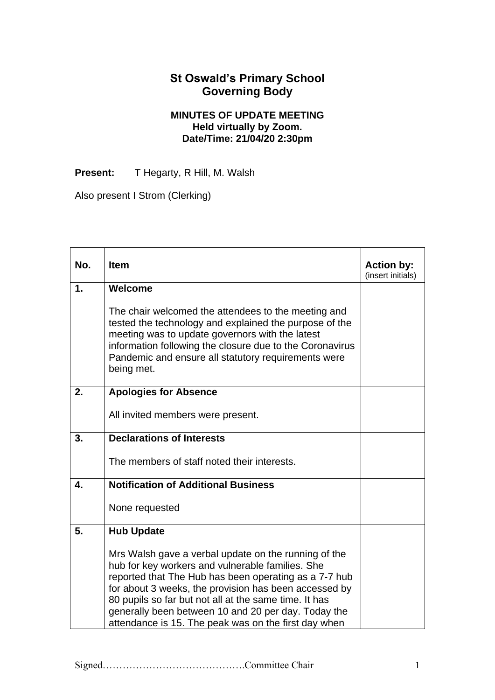## **St Oswald's Primary School Governing Body**

## **MINUTES OF UPDATE MEETING Held virtually by Zoom. Date/Time: 21/04/20 2:30pm**

Present: T Hegarty, R Hill, M. Walsh

Also present I Strom (Clerking)

| No.           | <b>Item</b>                                                                                                                                                                                                                                                                                                                                                                                        | <b>Action by:</b><br>(insert initials) |
|---------------|----------------------------------------------------------------------------------------------------------------------------------------------------------------------------------------------------------------------------------------------------------------------------------------------------------------------------------------------------------------------------------------------------|----------------------------------------|
| $\mathbf 1$ . | Welcome                                                                                                                                                                                                                                                                                                                                                                                            |                                        |
|               | The chair welcomed the attendees to the meeting and<br>tested the technology and explained the purpose of the<br>meeting was to update governors with the latest<br>information following the closure due to the Coronavirus<br>Pandemic and ensure all statutory requirements were<br>being met.                                                                                                  |                                        |
| 2.            | <b>Apologies for Absence</b>                                                                                                                                                                                                                                                                                                                                                                       |                                        |
|               | All invited members were present.                                                                                                                                                                                                                                                                                                                                                                  |                                        |
| 3.            | <b>Declarations of Interests</b>                                                                                                                                                                                                                                                                                                                                                                   |                                        |
|               | The members of staff noted their interests.                                                                                                                                                                                                                                                                                                                                                        |                                        |
| 4.            | <b>Notification of Additional Business</b>                                                                                                                                                                                                                                                                                                                                                         |                                        |
|               | None requested                                                                                                                                                                                                                                                                                                                                                                                     |                                        |
| 5.            | <b>Hub Update</b>                                                                                                                                                                                                                                                                                                                                                                                  |                                        |
|               | Mrs Walsh gave a verbal update on the running of the<br>hub for key workers and vulnerable families. She<br>reported that The Hub has been operating as a 7-7 hub<br>for about 3 weeks, the provision has been accessed by<br>80 pupils so far but not all at the same time. It has<br>generally been between 10 and 20 per day. Today the<br>attendance is 15. The peak was on the first day when |                                        |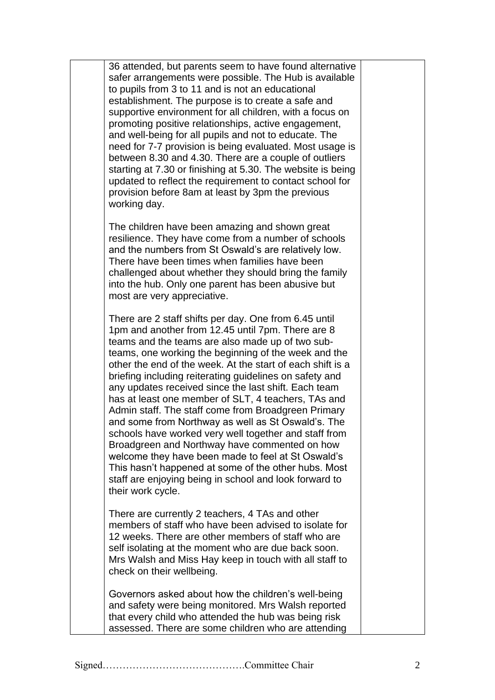36 attended, but parents seem to have found alternative safer arrangements were possible. The Hub is available to pupils from 3 to 11 and is not an educational establishment. The purpose is to create a safe and supportive environment for all children, with a focus on promoting positive relationships, active engagement, and well-being for all pupils and not to educate. The need for 7-7 provision is being evaluated. Most usage is between 8.30 and 4.30. There are a couple of outliers starting at 7.30 or finishing at 5.30. The website is being updated to reflect the requirement to contact school for provision before 8am at least by 3pm the previous working day.

The children have been amazing and shown great resilience. They have come from a number of schools and the numbers from St Oswald's are relatively low. There have been times when families have been challenged about whether they should bring the family into the hub. Only one parent has been abusive but most are very appreciative.

There are 2 staff shifts per day. One from 6.45 until 1pm and another from 12.45 until 7pm. There are 8 teams and the teams are also made up of two subteams, one working the beginning of the week and the other the end of the week. At the start of each shift is a briefing including reiterating guidelines on safety and any updates received since the last shift. Each team has at least one member of SLT, 4 teachers, TAs and Admin staff. The staff come from Broadgreen Primary and some from Northway as well as St Oswald's. The schools have worked very well together and staff from Broadgreen and Northway have commented on how welcome they have been made to feel at St Oswald's This hasn't happened at some of the other hubs. Most staff are enjoying being in school and look forward to their work cycle.

There are currently 2 teachers, 4 TAs and other members of staff who have been advised to isolate for 12 weeks. There are other members of staff who are self isolating at the moment who are due back soon. Mrs Walsh and Miss Hay keep in touch with all staff to check on their wellbeing.

Governors asked about how the children's well-being and safety were being monitored. Mrs Walsh reported that every child who attended the hub was being risk assessed. There are some children who are attending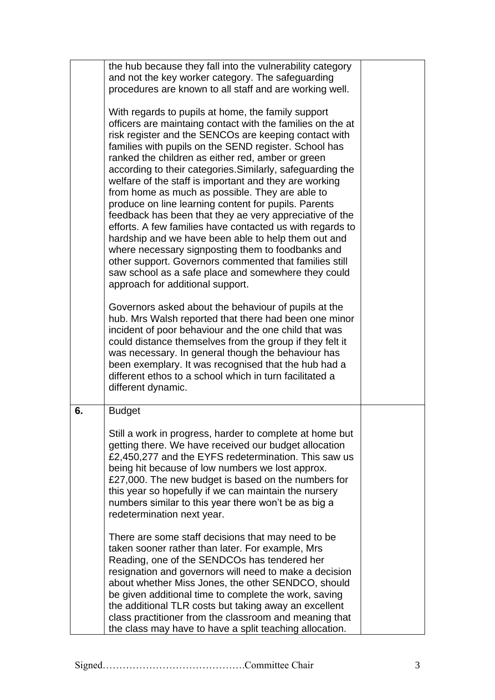|    | the hub because they fall into the vulnerability category<br>and not the key worker category. The safeguarding<br>procedures are known to all staff and are working well.<br>With regards to pupils at home, the family support<br>officers are maintaing contact with the families on the at<br>risk register and the SENCOs are keeping contact with<br>families with pupils on the SEND register. School has<br>ranked the children as either red, amber or green<br>according to their categories. Similarly, safeguarding the<br>welfare of the staff is important and they are working<br>from home as much as possible. They are able to<br>produce on line learning content for pupils. Parents<br>feedback has been that they ae very appreciative of the<br>efforts. A few families have contacted us with regards to<br>hardship and we have been able to help them out and<br>where necessary signposting them to foodbanks and<br>other support. Governors commented that families still<br>saw school as a safe place and somewhere they could<br>approach for additional support. |  |
|----|--------------------------------------------------------------------------------------------------------------------------------------------------------------------------------------------------------------------------------------------------------------------------------------------------------------------------------------------------------------------------------------------------------------------------------------------------------------------------------------------------------------------------------------------------------------------------------------------------------------------------------------------------------------------------------------------------------------------------------------------------------------------------------------------------------------------------------------------------------------------------------------------------------------------------------------------------------------------------------------------------------------------------------------------------------------------------------------------------|--|
|    | Governors asked about the behaviour of pupils at the<br>hub. Mrs Walsh reported that there had been one minor<br>incident of poor behaviour and the one child that was<br>could distance themselves from the group if they felt it<br>was necessary. In general though the behaviour has<br>been exemplary. It was recognised that the hub had a<br>different ethos to a school which in turn facilitated a<br>different dynamic.                                                                                                                                                                                                                                                                                                                                                                                                                                                                                                                                                                                                                                                                |  |
| 6. | <b>Budget</b><br>Still a work in progress, harder to complete at home but<br>getting there. We have received our budget allocation<br>£2,450,277 and the EYFS redetermination. This saw us<br>being hit because of low numbers we lost approx.<br>£27,000. The new budget is based on the numbers for<br>this year so hopefully if we can maintain the nursery<br>numbers similar to this year there won't be as big a<br>redetermination next year.                                                                                                                                                                                                                                                                                                                                                                                                                                                                                                                                                                                                                                             |  |
|    | There are some staff decisions that may need to be<br>taken sooner rather than later. For example, Mrs<br>Reading, one of the SENDCOs has tendered her<br>resignation and governors will need to make a decision<br>about whether Miss Jones, the other SENDCO, should<br>be given additional time to complete the work, saving<br>the additional TLR costs but taking away an excellent<br>class practitioner from the classroom and meaning that<br>the class may have to have a split teaching allocation.                                                                                                                                                                                                                                                                                                                                                                                                                                                                                                                                                                                    |  |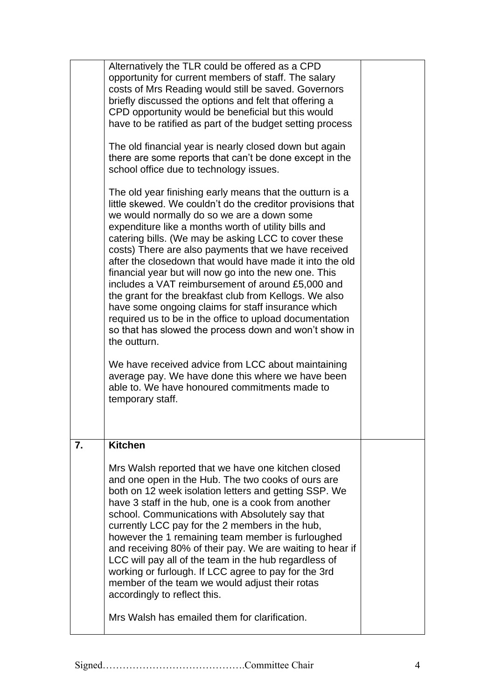|    | Alternatively the TLR could be offered as a CPD<br>opportunity for current members of staff. The salary<br>costs of Mrs Reading would still be saved. Governors<br>briefly discussed the options and felt that offering a<br>CPD opportunity would be beneficial but this would<br>have to be ratified as part of the budget setting process<br>The old financial year is nearly closed down but again<br>there are some reports that can't be done except in the<br>school office due to technology issues.<br>The old year finishing early means that the outturn is a<br>little skewed. We couldn't do the creditor provisions that<br>we would normally do so we are a down some<br>expenditure like a months worth of utility bills and<br>catering bills. (We may be asking LCC to cover these<br>costs) There are also payments that we have received<br>after the closedown that would have made it into the old<br>financial year but will now go into the new one. This<br>includes a VAT reimbursement of around £5,000 and<br>the grant for the breakfast club from Kellogs. We also<br>have some ongoing claims for staff insurance which<br>required us to be in the office to upload documentation<br>so that has slowed the process down and won't show in<br>the outturn.<br>We have received advice from LCC about maintaining<br>average pay. We have done this where we have been<br>able to. We have honoured commitments made to<br>temporary staff. |  |
|----|----------------------------------------------------------------------------------------------------------------------------------------------------------------------------------------------------------------------------------------------------------------------------------------------------------------------------------------------------------------------------------------------------------------------------------------------------------------------------------------------------------------------------------------------------------------------------------------------------------------------------------------------------------------------------------------------------------------------------------------------------------------------------------------------------------------------------------------------------------------------------------------------------------------------------------------------------------------------------------------------------------------------------------------------------------------------------------------------------------------------------------------------------------------------------------------------------------------------------------------------------------------------------------------------------------------------------------------------------------------------------------------------------------------------------------------------------------------------------|--|
| 7. | <b>Kitchen</b><br>Mrs Walsh reported that we have one kitchen closed<br>and one open in the Hub. The two cooks of ours are<br>both on 12 week isolation letters and getting SSP. We<br>have 3 staff in the hub, one is a cook from another<br>school. Communications with Absolutely say that<br>currently LCC pay for the 2 members in the hub,<br>however the 1 remaining team member is furloughed<br>and receiving 80% of their pay. We are waiting to hear if<br>LCC will pay all of the team in the hub regardless of<br>working or furlough. If LCC agree to pay for the 3rd<br>member of the team we would adjust their rotas<br>accordingly to reflect this.<br>Mrs Walsh has emailed them for clarification.                                                                                                                                                                                                                                                                                                                                                                                                                                                                                                                                                                                                                                                                                                                                                     |  |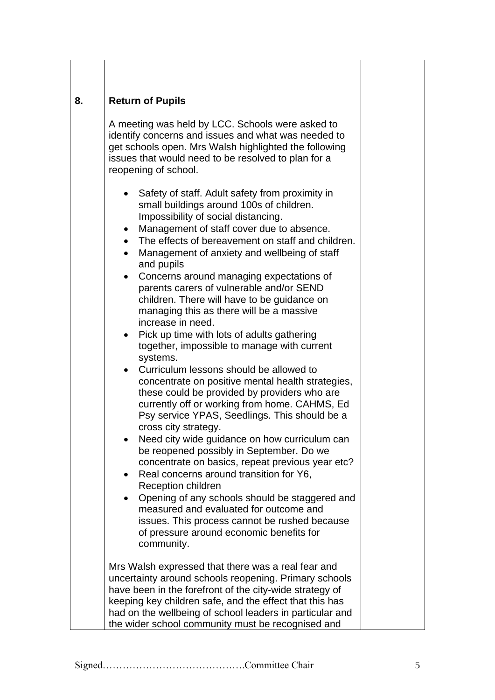| 8. | <b>Return of Pupils</b>                                                                                                                                                                                                                                                                                                                                                                                                                                                                                                                                                                                                                                                                                                                                                                                                                                                                                                                                                                                                                                                                                                                                                                                                                                                                                                                                       |  |
|----|---------------------------------------------------------------------------------------------------------------------------------------------------------------------------------------------------------------------------------------------------------------------------------------------------------------------------------------------------------------------------------------------------------------------------------------------------------------------------------------------------------------------------------------------------------------------------------------------------------------------------------------------------------------------------------------------------------------------------------------------------------------------------------------------------------------------------------------------------------------------------------------------------------------------------------------------------------------------------------------------------------------------------------------------------------------------------------------------------------------------------------------------------------------------------------------------------------------------------------------------------------------------------------------------------------------------------------------------------------------|--|
|    | A meeting was held by LCC. Schools were asked to<br>identify concerns and issues and what was needed to<br>get schools open. Mrs Walsh highlighted the following<br>issues that would need to be resolved to plan for a<br>reopening of school.                                                                                                                                                                                                                                                                                                                                                                                                                                                                                                                                                                                                                                                                                                                                                                                                                                                                                                                                                                                                                                                                                                               |  |
|    | Safety of staff. Adult safety from proximity in<br>small buildings around 100s of children.<br>Impossibility of social distancing.<br>Management of staff cover due to absence.<br>$\bullet$<br>The effects of bereavement on staff and children.<br>Management of anxiety and wellbeing of staff<br>$\bullet$<br>and pupils<br>Concerns around managing expectations of<br>$\bullet$<br>parents carers of vulnerable and/or SEND<br>children. There will have to be guidance on<br>managing this as there will be a massive<br>increase in need.<br>Pick up time with lots of adults gathering<br>together, impossible to manage with current<br>systems.<br>Curriculum lessons should be allowed to<br>concentrate on positive mental health strategies,<br>these could be provided by providers who are<br>currently off or working from home. CAHMS, Ed<br>Psy service YPAS, Seedlings. This should be a<br>cross city strategy.<br>Need city wide guidance on how curriculum can<br>be reopened possibly in September. Do we<br>concentrate on basics, repeat previous year etc?<br>Real concerns around transition for Y6,<br>Reception children<br>Opening of any schools should be staggered and<br>measured and evaluated for outcome and<br>issues. This process cannot be rushed because<br>of pressure around economic benefits for<br>community. |  |
|    | Mrs Walsh expressed that there was a real fear and<br>uncertainty around schools reopening. Primary schools<br>have been in the forefront of the city-wide strategy of<br>keeping key children safe, and the effect that this has<br>had on the wellbeing of school leaders in particular and<br>the wider school community must be recognised and                                                                                                                                                                                                                                                                                                                                                                                                                                                                                                                                                                                                                                                                                                                                                                                                                                                                                                                                                                                                            |  |